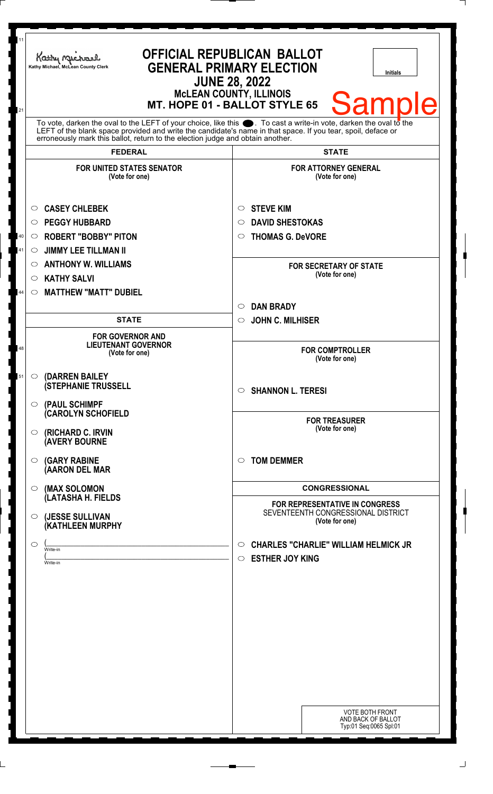| 11<br>21     | Kathy Michael<br>Kathy Michael, McLean County Clerk                                                                                                                                                                                                                                                                    | <b>OFFICIAL REPUBLICAN BALLOT</b><br><b>GENERAL PRIMARY ELECTION</b><br><b>Initials</b><br><b>JUNE 28, 2022</b><br><b>McLEAN COUNTY, ILLINOIS</b><br><b>Samp</b><br>MT. HOPE 01 - BALLOT STYLE 65 |
|--------------|------------------------------------------------------------------------------------------------------------------------------------------------------------------------------------------------------------------------------------------------------------------------------------------------------------------------|---------------------------------------------------------------------------------------------------------------------------------------------------------------------------------------------------|
|              | To vote, darken the oval to the LEFT of your choice, like this $\bullet$ . To cast a write-in vote, darken the oval to the LEFT of the blank space provided and write the candidate's name in that space. If you tear, spoil, deface<br>erroneously mark this ballot, return to the election judge and obtain another. |                                                                                                                                                                                                   |
|              | <b>FEDERAL</b><br><b>FOR UNITED STATES SENATOR</b><br>(Vote for one)                                                                                                                                                                                                                                                   | <b>STATE</b><br><b>FOR ATTORNEY GENERAL</b><br>(Vote for one)                                                                                                                                     |
| $40\,$<br>41 | <b>CASEY CHLEBEK</b><br>$\circ$<br><b>PEGGY HUBBARD</b><br>$\circ$<br><b>ROBERT "BOBBY" PITON</b><br>$\circ$<br><b>JIMMY LEE TILLMAN II</b><br>◯<br><b>ANTHONY W. WILLIAMS</b><br>$\circ$                                                                                                                              | <b>STEVE KIM</b><br>O<br><b>DAVID SHESTOKAS</b><br>O<br><b>THOMAS G. DeVORE</b><br>O<br><b>FOR SECRETARY OF STATE</b>                                                                             |
| 44           | <b>KATHY SALVI</b><br>$\circlearrowright$<br><b>MATTHEW "MATT" DUBIEL</b><br>$\circ$                                                                                                                                                                                                                                   | (Vote for one)<br><b>DAN BRADY</b><br>$\circlearrowright$                                                                                                                                         |
| 48           | <b>STATE</b><br><b>FOR GOVERNOR AND</b><br><b>LIEUTENANT GOVERNOR</b><br>(Vote for one)                                                                                                                                                                                                                                | <b>JOHN C. MILHISER</b><br>$\circ$<br><b>FOR COMPTROLLER</b><br>(Vote for one)                                                                                                                    |
| 51           | (DARREN BAILEY<br>$\circ$<br><b>(STEPHANIE TRUSSELL</b><br>$\circ$ (PAUL SCHIMPF                                                                                                                                                                                                                                       | $\circ$ SHANNON L. TERESI                                                                                                                                                                         |
|              | <b>(CAROLYN SCHOFIELD</b><br>$\circ$ (RICHARD C. IRVIN<br><b>(AVERY BOURNE</b>                                                                                                                                                                                                                                         | <b>FOR TREASURER</b><br>(Vote for one)                                                                                                                                                            |
|              | <b>(GARY RABINE</b><br>$\circ$<br>(AARON DEL MAR                                                                                                                                                                                                                                                                       | <b>TOM DEMMER</b><br>◯                                                                                                                                                                            |
|              | $\circ$ (MAX SOLOMON<br>(LATASHA H. FIELDS<br>(JESSE SULLIVAN<br>$\circ$<br><b>(KATHLEEN MURPHY</b>                                                                                                                                                                                                                    | <b>CONGRESSIONAL</b><br><b>FOR REPRESENTATIVE IN CONGRESS</b><br>SEVENTEENTH CONGRESSIONAL DISTRICT<br>(Vote for one)                                                                             |
|              | $\circ$<br>Write-in<br>Write-in                                                                                                                                                                                                                                                                                        | <b>CHARLES "CHARLIE" WILLIAM HELMICK JR</b><br>$\circ$<br><b>ESTHER JOY KING</b><br>$\circ$                                                                                                       |
|              |                                                                                                                                                                                                                                                                                                                        |                                                                                                                                                                                                   |
|              |                                                                                                                                                                                                                                                                                                                        |                                                                                                                                                                                                   |
|              |                                                                                                                                                                                                                                                                                                                        | <b>VOTE BOTH FRONT</b><br>AND BACK OF BALLOT<br>Typ:01 Seq:0065 Spl:01                                                                                                                            |

 $\Box$